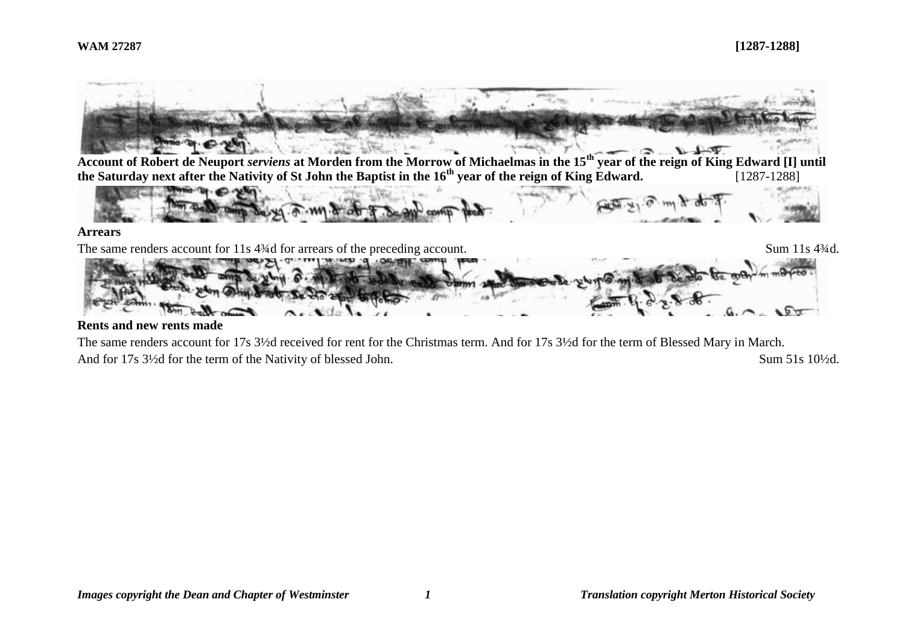

#### **Rents and new rents made**

The same renders account for 17s 3½d received for rent for the Christmas term. And for 17s 3½d for the term of Blessed Mary in March. And for 17s  $3\frac{1}{2}$ d for the term of the Nativity of blessed John. Sum 51s 10<sup>1</sup>/2d.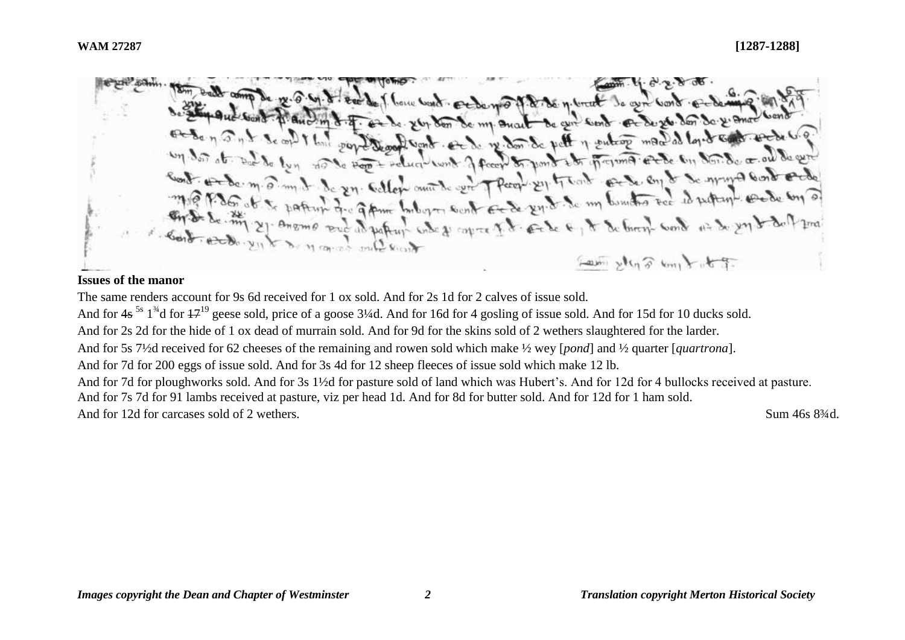bone want produced to the mount to get word 26% den de my Quart de que sont et de 26. den de 21 anos y entrop mand as loyed contract Sont et de re don de pett  $n_{\text{current}}$ J fecer & rond it  $Peluc1$ In callon anothe cent T Pecon Ell track only en en to so my a cond of  $\delta$ c.  $m \cdot \widehat{\mathcal{O}}$ . m For gram buboyer south Et de 24.8. So in bounds to de es putting which copies It cake & It & brown work as do you Law steps control

## **Issues of the manor**

The same renders account for 9s 6d received for 1 ox sold. And for 2s 1d for 2 calves of issue sold.

And for  $4s^{5s}$   $1^{34}$ d for  $47^{19}$  geese sold, price of a goose 3¼d. And for 16d for 4 gosling of issue sold. And for 15d for 10 ducks sold.

And for 2s 2d for the hide of 1 ox dead of murrain sold. And for 9d for the skins sold of 2 wethers slaughtered for the larder.

And for 5s 7½d received for 62 cheeses of the remaining and rowen sold which make ½ wey [*pond*] and ½ quarter [*quartrona*].

And for 7d for 200 eggs of issue sold. And for 3s 4d for 12 sheep fleeces of issue sold which make 12 lb.

And for 7d for ploughworks sold. And for 3s 1½d for pasture sold of land which was Hubert's. And for 12d for 4 bullocks received at pasture. And for 7s 7d for 91 lambs received at pasture, viz per head 1d. And for 8d for butter sold. And for 12d for 1 ham sold.

And for 12d for carcases sold of 2 wethers. Sum 46s 834d.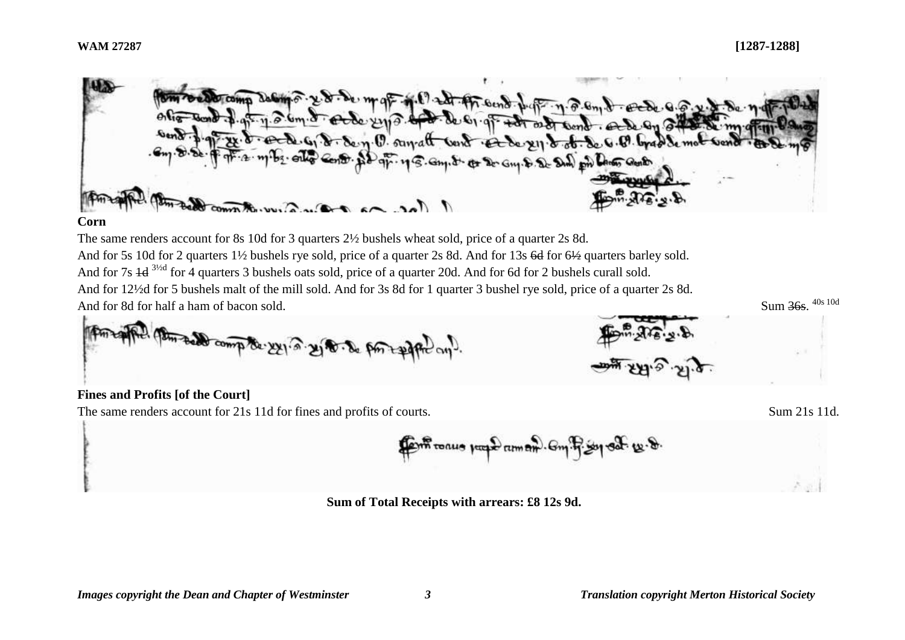$Sum \frac{365}{100}$   $40s \frac{10d}{100}$ 



#### **Corn**

The same renders account for 8s 10d for 3 quarters 2½ bushels wheat sold, price of a quarter 2s 8d. And for 5s 10d for 2 quarters 1<sup>1/2</sup> bushels rye sold, price of a quarter 2s 8d. And for 13s 6d for 6½ quarters barley sold. And for 7s  $\frac{1}{4}$  3<sup>3/2d</sup> for 4 quarters 3 bushels oats sold, price of a quarter 20d. And for 6d for 2 bushels curall sold. And for 12½d for 5 bushels malt of the mill sold. And for 3s 8d for 1 quarter 3 bushel rye sold, price of a quarter 2s 8d. And for 8d for half a ham of bacon sold.



## **Fines and Profits [of the Court]**

The same renders account for 21s 11d for fines and profits of courts. Sum 21s 11d.



**Sum of Total Receipts with arrears: £8 12s 9d.**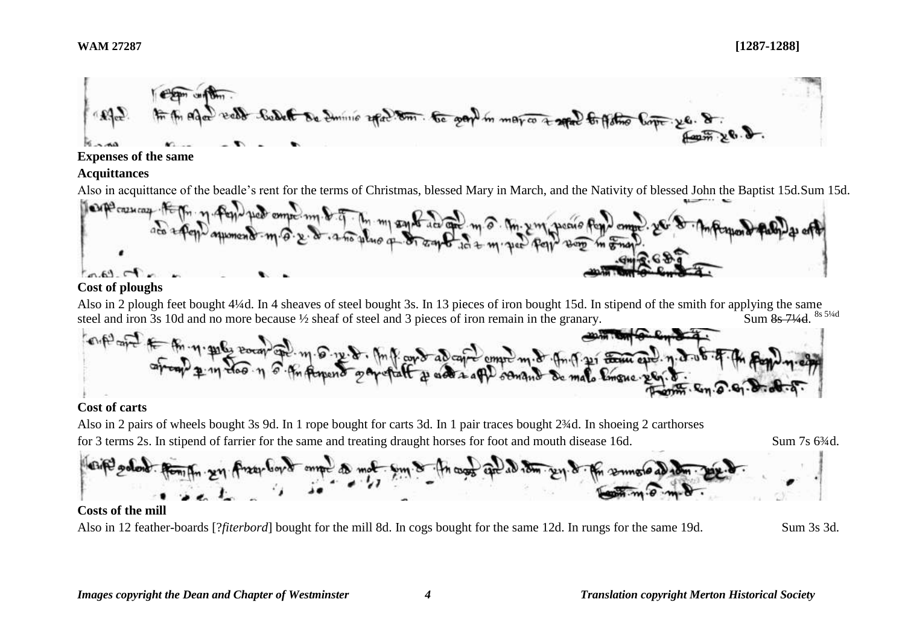

## **Expenses of the same**

#### **Acquittances**



## **Cost of ploughs**

Also in 2 plough feet bought 4¼d. In 4 sheaves of steel bought 3s. In 13 pieces of iron bought 15d. In stipend of the smith for applying the same steel and iron 3s 10d and no more because  $\frac{1}{2}$  sheaf of steel and 3 pieces of iron remain in the granary. Sum 8s 71/4d. 8s 51/4d



## **Cost of carts**

Also in 2 pairs of wheels bought 3s 9d. In 1 rope bought for carts 3d. In 1 pair traces bought 2¾d. In shoeing 2 carthorses for 3 terms 2s. In stipend of farrier for the same and treating draught horses for foot and mouth disease 16d. Sum 7s 6¾d.



# **Costs of the mill**

Also in 12 feather-boards [?*fiterbord*] bought for the mill 8d. In cogs bought for the same 12d. In rungs for the same 19d. Sum 3s 3d.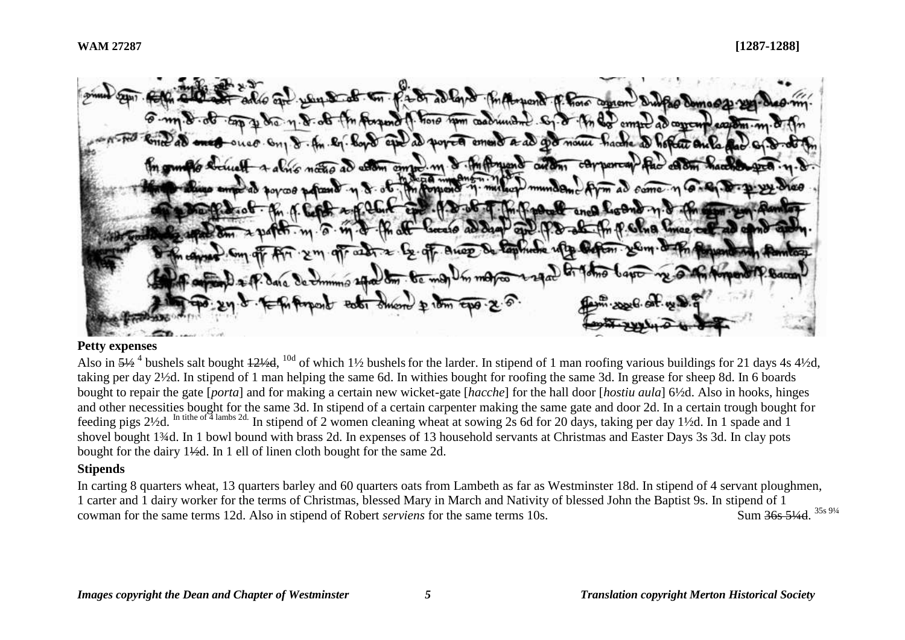2 8 allen & MAnyone of Porc became 1. horo non coadrunded. Sq. d in da eman ad concern conon a ad a moule  $031$  $ATAL$ o immuno autom action compre m 8.06 m Powers  $20.05 - 4$ cease ad dam

# **Petty expenses**

Also in  $\frac{51}{2}$ <sup>4</sup> bushels salt bought  $\frac{121}{2}$ ,  $^{10d}$  of which 1½ bushels for the larder. In stipend of 1 man roofing various buildings for 21 days 4s 4½d, taking per day 2½d. In stipend of 1 man helping the same 6d. In withies bought for roofing the same 3d. In grease for sheep 8d. In 6 boards bought to repair the gate [*porta*] and for making a certain new wicket-gate [*hacche*] for the hall door [*hostiu aula*] 6½d. Also in hooks, hinges and other necessities bought for the same 3d. In stipend of a certain carpenter making the same gate and door 2d. In a certain trough bought for feeding pigs 2½d. In tithe of 4 lambs 2d. In stipend of 2 women cleaning wheat at sowing 2s 6d for 20 days, taking per day 1½d. In 1 spade and 1 shovel bought 1¼d. In 1 bowl bound with brass 2d. In expenses of 13 household servants at Christmas and Easter Days 3s 3d. In clay pots bought for the dairy 1½d. In 1 ell of linen cloth bought for the same 2d.

## **Stipends**

In carting 8 quarters wheat, 13 quarters barley and 60 quarters oats from Lambeth as far as Westminster 18d. In stipend of 4 servant ploughmen, 1 carter and 1 dairy worker for the terms of Christmas, blessed Mary in March and Nativity of blessed John the Baptist 9s. In stipend of 1 cowman for the same terms 12d. Also in stipend of Robert *serviens* for the same terms 10s. Sum 36s 51/4d 35s 91/4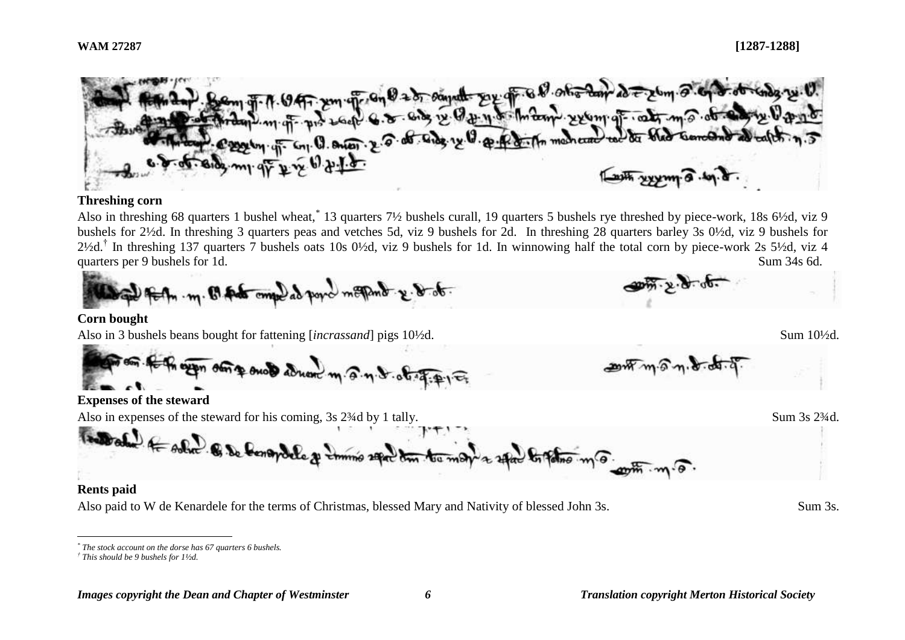

#### **Threshing corn**

Also in threshing 68 quarters 1 bushel wheat,<sup>\*</sup> 13 quarters 7½ bushels curall, 19 quarters 5 bushels rye threshed by piece-work, 18s 6½d, viz 9 bushels for 2½d. In threshing 3 quarters peas and vetches 5d, viz 9 bushels for 2d. In threshing 28 quarters barley 3s 0½d, viz 9 bushels for  $2\frac{1}{2}$ d.<sup>†</sup> In threshing 137 quarters 7 bushels oats 10s 0½d, viz 9 bushels for 1d. In winnowing half the total corn by piece-work 2s 5½d, viz 4 quarters per 9 bushels for 1d. Sum 34s 6d.

 $2$  megand  $x \cdot b \cdot b$ .

#### **Corn bought**

Also in 3 bushels beans bought for fattening [*incrassand*] pigs 10<sup>1</sup>/<sub>2</sub>d. Sum 10<sup>1</sup>/<sub>2</sub>d.

The expo store such adread m. @. n. d. of

## **Expenses of the steward**

Also in expenses of the steward for his coming, 3s 2<sup>3</sup>/<sub>4</sub>d by 1 tally. Sum 3s 2<sup>3</sup>/<sub>4d</sub>.

Toward for solve of the form

#### **Rents paid**

 $\overline{a}$ 

Also paid to W de Kenardele for the terms of Christmas, blessed Mary and Nativity of blessed John 3s. Sum 3s.

 $-20m \sqrt{m \cdot 9} m$ 

*<sup>\*</sup> The stock account on the dorse has 67 quarters 6 bushels.*

*<sup>†</sup> This should be 9 bushels for 1½d.*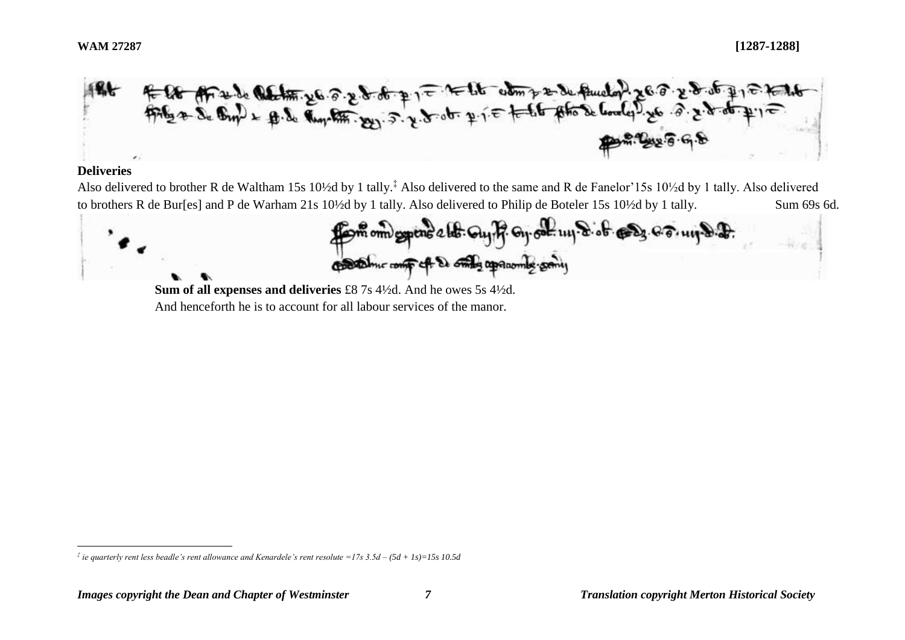

## **Deliveries**

 $\overline{a}$ 

Also delivered to brother R de Waltham 15s 10½d by 1 tally.<sup>‡</sup> Also delivered to the same and R de Fanelor'15s 10½d by 1 tally. Also delivered to brothers R de Bur[es] and P de Warham 21s 10½d by 1 tally. Also delivered to Philip de Boteler 15s 10½d by 1 tally. Sum 69s 6d.



**Sum of all expenses and deliveries** £8 7s 4½d. And he owes 5s 4½d. And henceforth he is to account for all labour services of the manor.

*<sup>‡</sup> ie quarterly rent less beadle's rent allowance and Kenardele's rent resolute =17s 3.5d – (5d + 1s)=15s 10.5d*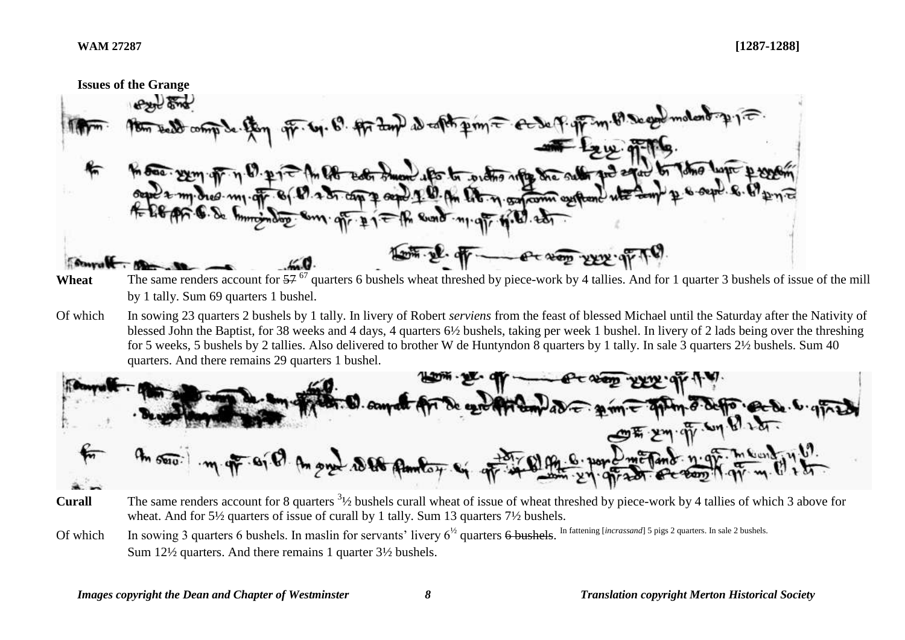

- Wheat The same renders account for  $57^{67}$  quarters 6 bushels wheat threshed by piece-work by 4 tallies. And for 1 quarter 3 bushels of issue of the mill by 1 tally. Sum 69 quarters 1 bushel.
- Of which In sowing 23 quarters 2 bushels by 1 tally. In livery of Robert *serviens* from the feast of blessed Michael until the Saturday after the Nativity of blessed John the Baptist, for 38 weeks and 4 days, 4 quarters 6½ bushels, taking per week 1 bushel. In livery of 2 lads being over the threshing for 5 weeks, 5 bushels by 2 tallies. Also delivered to brother W de Huntyndon 8 quarters by 1 tally. In sale 3 quarters 2½ bushels. Sum 40 quarters. And there remains 29 quarters 1 bushel.



- **Curall** The same renders account for 8 quarters <sup>31</sup>/<sub>2</sub> bushels curall wheat of issue of wheat threshed by piece-work by 4 tallies of which 3 above for wheat. And for 5½ quarters of issue of curall by 1 tally. Sum 13 quarters 7½ bushels.
- Of which In sowing 3 quarters 6 bushels. In maslin for servants' livery 6<sup>1/2</sup> quarters 6 bushels. In fattening [*incrassand*] 5 pigs 2 quarters. In sale 2 bushels. Sum 12½ quarters. And there remains 1 quarter 3½ bushels.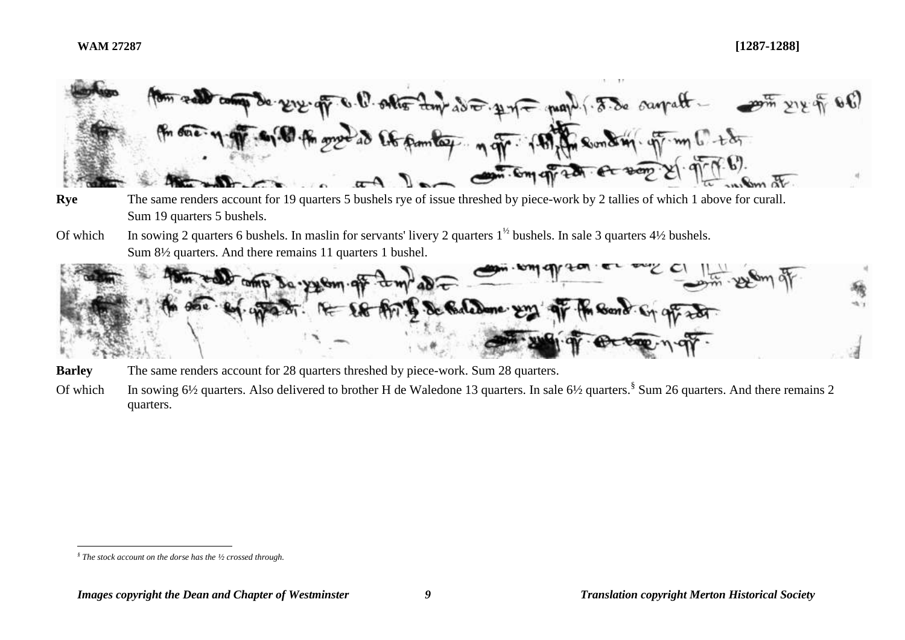

- **Rye** The same renders account for 19 quarters 5 bushels rye of issue threshed by piece-work by 2 tallies of which 1 above for curall. Sum 19 quarters 5 bushels.
- Of which In sowing 2 quarters 6 bushels. In maslin for servants' livery 2 quarters  $1^{1/2}$  bushels. In sale 3 quarters  $4\frac{1}{2}$  bushels. Sum 8½ quarters. And there remains 11 quarters 1 bushel.



**Barley** The same renders account for 28 quarters threshed by piece-work. Sum 28 quarters.

Of which In sowing 6½ quarters. Also delivered to brother H de Waledone 13 quarters. In sale 6½ quarters.<sup>§</sup> Sum 26 quarters. And there remains 2 quarters.

 $\overline{a}$ *§ The stock account on the dorse has the ½ crossed through.*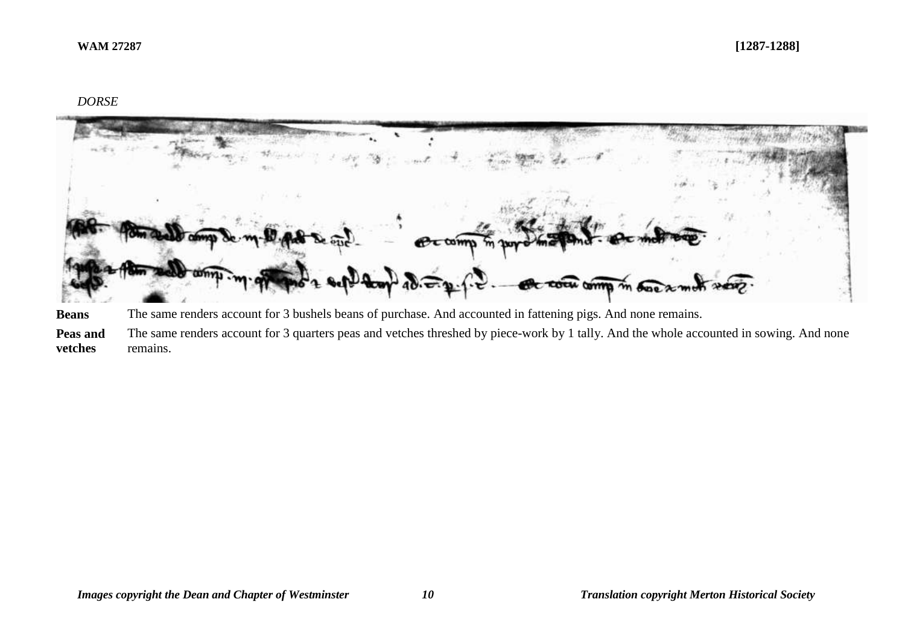# *DORSE*



**Beans** The same renders account for 3 bushels beans of purchase. And accounted in fattening pigs. And none remains.

**Peas and vetches** The same renders account for 3 quarters peas and vetches threshed by piece-work by 1 tally. And the whole accounted in sowing. And none remains.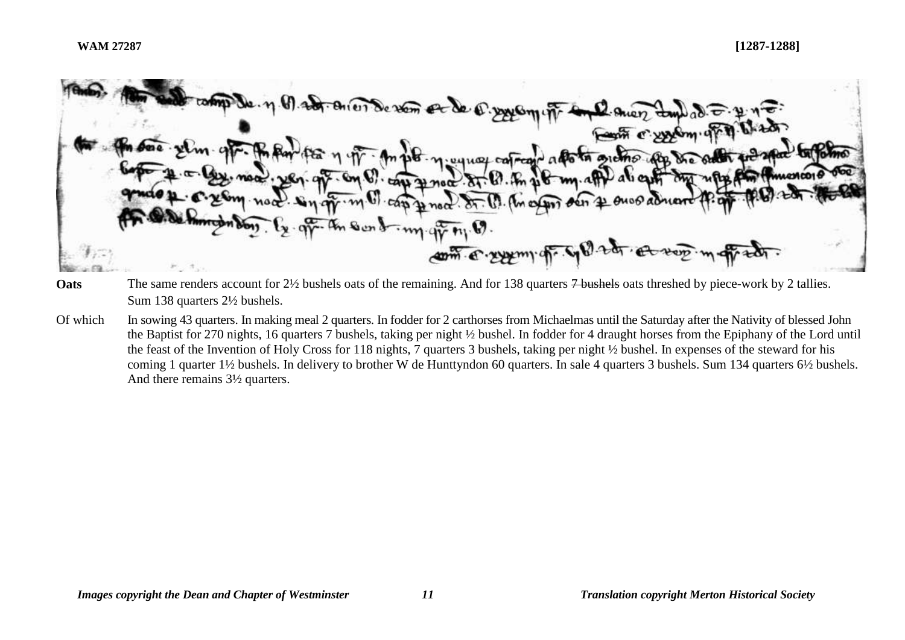

- **Oats** The same renders account for 2½ bushels oats of the remaining. And for 138 quarters 7 bushels oats threshed by piece-work by 2 tallies. Sum 138 quarters 2½ bushels.
- Of which In sowing 43 quarters. In making meal 2 quarters. In fodder for 2 carthorses from Michaelmas until the Saturday after the Nativity of blessed John the Baptist for 270 nights, 16 quarters 7 bushels, taking per night ½ bushel. In fodder for 4 draught horses from the Epiphany of the Lord until the feast of the Invention of Holy Cross for 118 nights, 7 quarters 3 bushels, taking per night ½ bushel. In expenses of the steward for his coming 1 quarter 1½ bushels. In delivery to brother W de Hunttyndon 60 quarters. In sale 4 quarters 3 bushels. Sum 134 quarters 6½ bushels. And there remains 3½ quarters.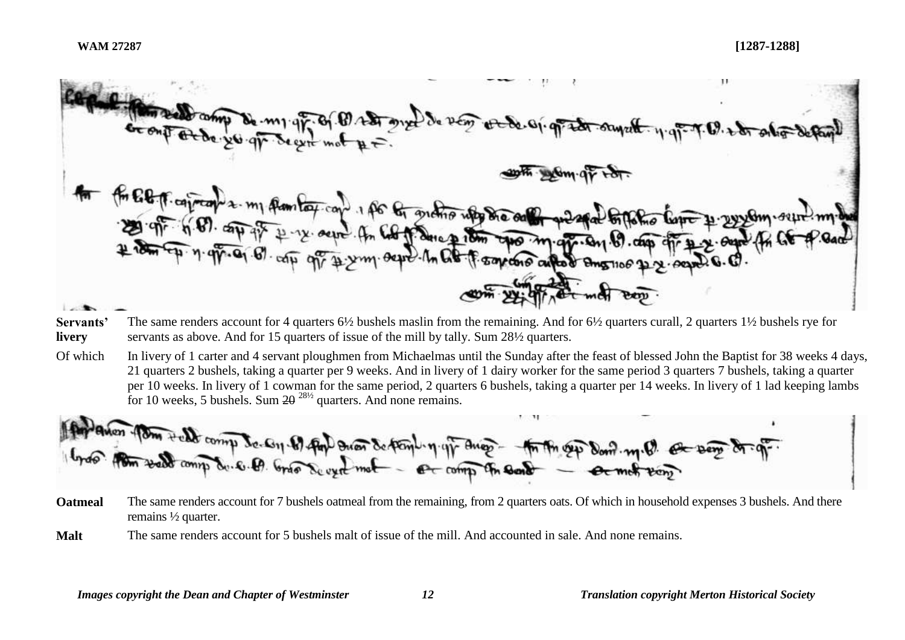$\lambda_0$   $\nu$ - free of contrades. my flambox.com. 1 for the grand who die only 12. outre . An Col de ce p de com espos magnes en 19. com Earcore autor Bmanue  $\sim$ 

- **Servants' livery** The same renders account for 4 quarters 6½ bushels maslin from the remaining. And for 6½ quarters curall, 2 quarters 1½ bushels rye for servants as above. And for 15 quarters of issue of the mill by tally. Sum 28<sup>1/2</sup> quarters.
- Of which In livery of 1 carter and 4 servant ploughmen from Michaelmas until the Sunday after the feast of blessed John the Baptist for 38 weeks 4 days, 21 quarters 2 bushels, taking a quarter per 9 weeks. And in livery of 1 dairy worker for the same period 3 quarters 7 bushels, taking a quarter per 10 weeks. In livery of 1 cowman for the same period, 2 quarters 6 bushels, taking a quarter per 14 weeks. In livery of 1 lad keeping lambs for 10 weeks, 5 bushels. Sum  $2\theta^{28/2}$  quarters. And none remains.



- **Oatmeal** The same renders account for 7 bushels oatmeal from the remaining, from 2 quarters oats. Of which in household expenses 3 bushels. And there remains ½ quarter.
- **Malt** The same renders account for 5 bushels malt of issue of the mill. And accounted in sale. And none remains.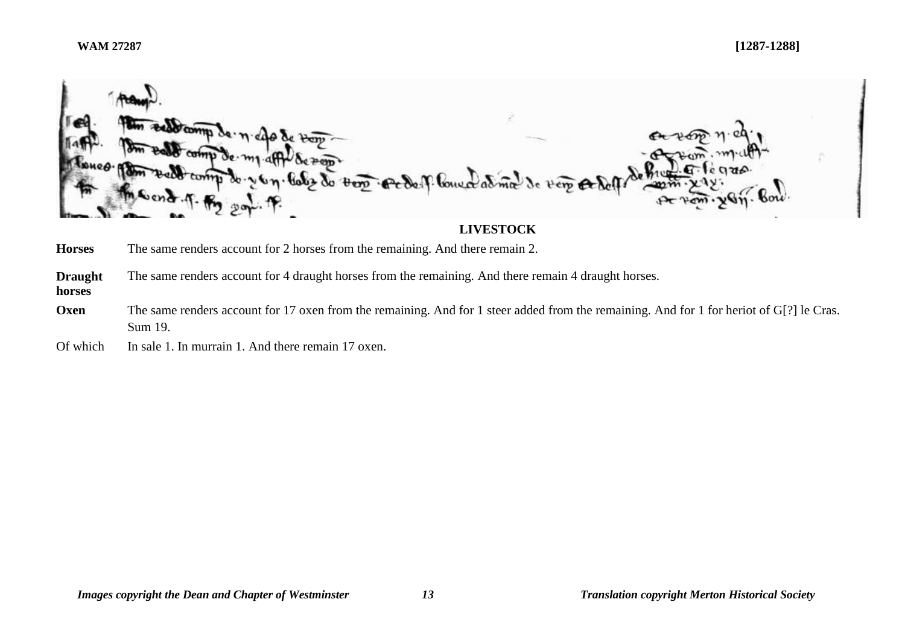

# **LIVESTOCK**

**Horses** The same renders account for 2 horses from the remaining. And there remain 2.

**Draught**  The same renders account for 4 draught horses from the remaining. And there remain 4 draught horses.

**horses**

**Oxen** The same renders account for 17 oxen from the remaining. And for 1 steer added from the remaining. And for 1 for heriot of G[?] le Cras. Sum 19.

Of which In sale 1. In murrain 1. And there remain 17 oxen.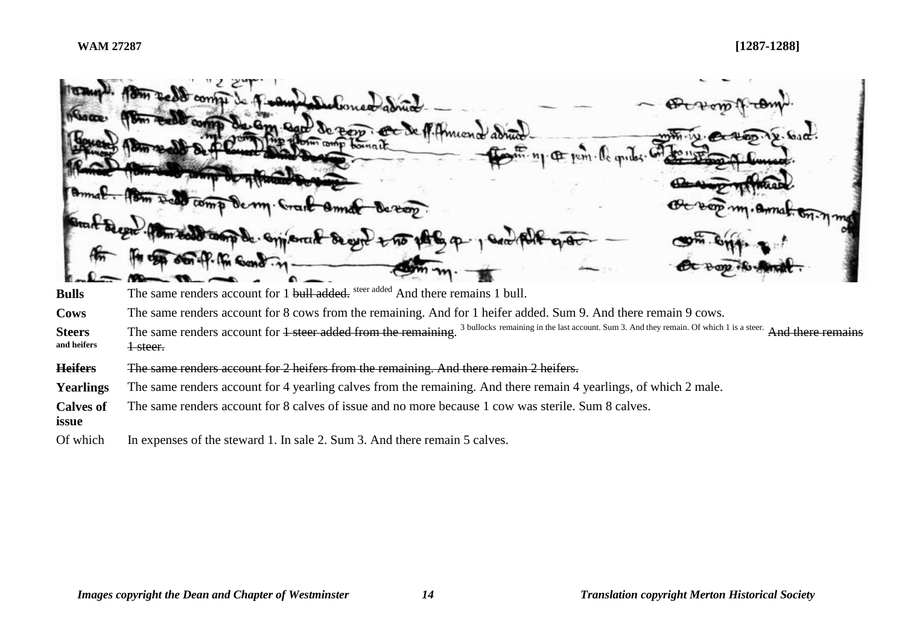|                              | sedd comme de Turkey<br>1) Debones adring<br>de am sand de zon ce de f. Amiend adrin<br>Amal. Pom Ded comp dem Crait Om<br>Octoop my. Armat. On nmg<br>de von.<br>anal Segal. ( am told comp de appearant de gere + 15 186 9<br>OF OUT-P. Pr Sand . 11- |
|------------------------------|---------------------------------------------------------------------------------------------------------------------------------------------------------------------------------------------------------------------------------------------------------|
| <b>Bulls</b>                 | The same renders account for 1 bull added, steer added And there remains 1 bull.                                                                                                                                                                        |
| Cows                         | The same renders account for 8 cows from the remaining. And for 1 heifer added. Sum 9. And there remain 9 cows.                                                                                                                                         |
| <b>Steers</b><br>and heifers | The same renders account for 1 steer added from the remaining. <sup>3</sup> bullocks remaining in the last account. Sum 3. And they remain. Of which 1 is a steer. And there remain<br><del>1 steer.</del>                                              |
|                              |                                                                                                                                                                                                                                                         |

**Heifers** The same renders account for 2 heifers from the remaining. And there remain 2 heifers.

**Yearlings** The same renders account for 4 yearling calves from the remaining. And there remain 4 yearlings, of which 2 male.

**Calves of**  The same renders account for 8 calves of issue and no more because 1 cow was sterile. Sum 8 calves.

**issue**

Of which In expenses of the steward 1. In sale 2. Sum 3. And there remain 5 calves.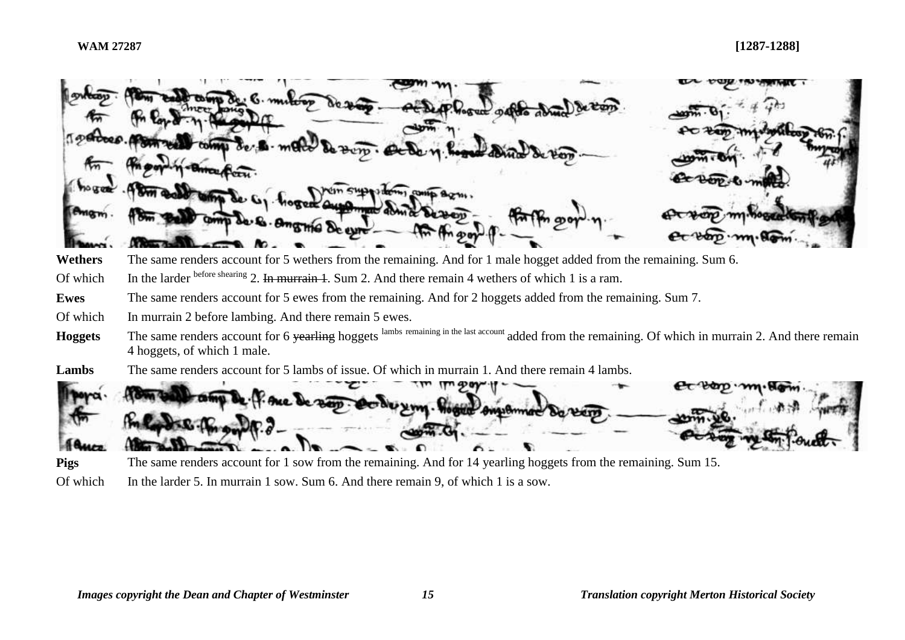**Wethers** The same renders account for 5 wethers from the remaining. And for 1 male hogget added from the remaining. Sum 6. Of which In the larder before shearing 2. In murrain 1. Sum 2. And there remain 4 wethers of which 1 is a ram. **Ewes** The same renders account for 5 ewes from the remaining. And for 2 hoggets added from the remaining. Sum 7.

Of which In murrain 2 before lambing. And there remain 5 ewes.

- **Hoggets** The same renders account for 6 yearling hoggets lambs remaining in the last account added from the remaining. Of which in murrain 2. And there remain 4 hoggets, of which 1 male.
- **Lambs** The same renders account for 5 lambs of issue. Of which in murrain 1. And there remain 4 lambs.



**Pigs** The same renders account for 1 sow from the remaining. And for 14 yearling hoggets from the remaining. Sum 15.

Of which In the larder 5. In murrain 1 sow. Sum 6. And there remain 9, of which 1 is a sow.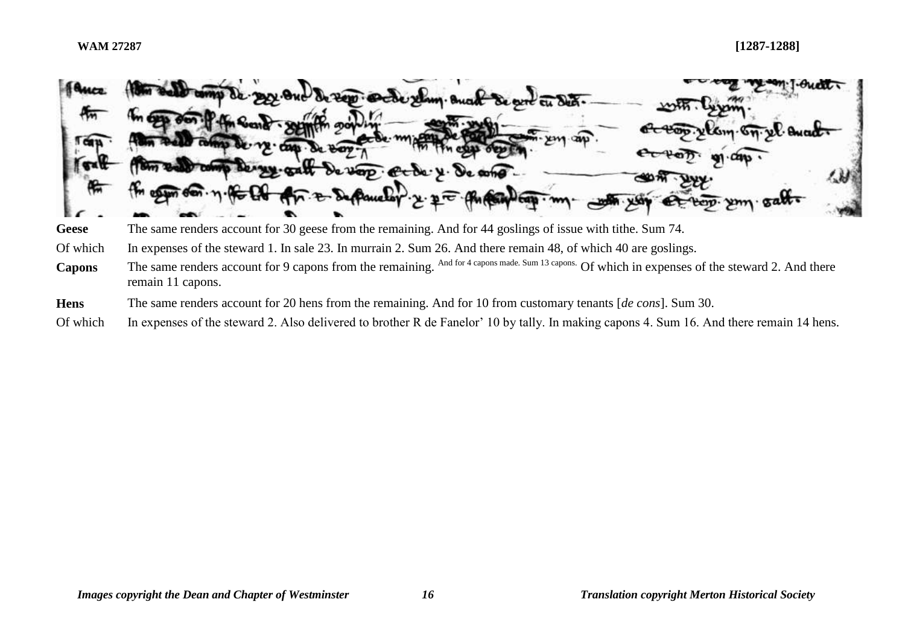

- **Hens** The same renders account for 20 hens from the remaining. And for 10 from customary tenants [*de cons*]. Sum 30.
- Of which In expenses of the steward 2. Also delivered to brother R de Fanelor' 10 by tally. In making capons 4. Sum 16. And there remain 14 hens.